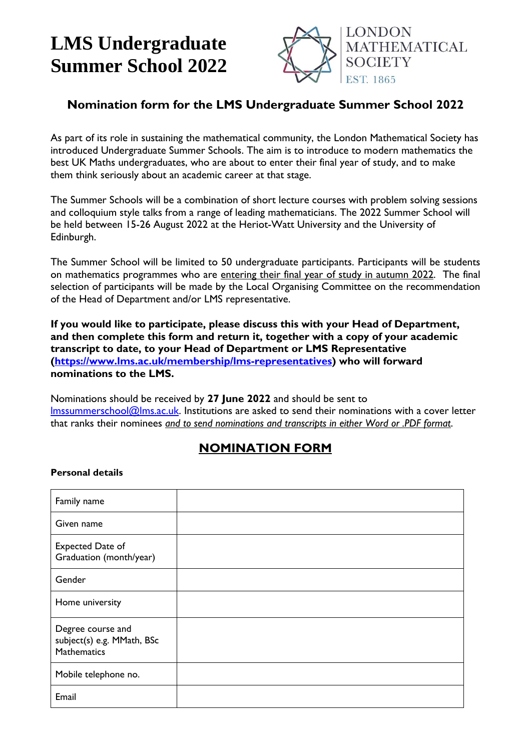# **LMS Undergraduate Summer School 2022**



### **Nomination form for the LMS Undergraduate Summer School 2022**

As part of its role in sustaining the mathematical community, the London Mathematical Society has introduced Undergraduate Summer Schools. The aim is to introduce to modern mathematics the best UK Maths undergraduates, who are about to enter their final year of study, and to make them think seriously about an academic career at that stage.

The Summer Schools will be a combination of short lecture courses with problem solving sessions and colloquium style talks from a range of leading mathematicians. The 2022 Summer School will be held between 15-26 August 2022 at the Heriot-Watt University and the University of Edinburgh.

The Summer School will be limited to 50 undergraduate participants. Participants will be students on mathematics programmes who are entering their final year of study in autumn 2022. The final selection of participants will be made by the Local Organising Committee on the recommendation of the Head of Department and/or LMS representative.

**If you would like to participate, please discuss this with your Head of Department, and then complete this form and return it, together with a copy of your academic transcript to date, to your Head of Department or LMS Representative [\(https://www.lms.ac.uk/membership/lms-representatives\)](https://www.lms.ac.uk/membership/lms-representatives) who will forward nominations to the LMS.**

Nominations should be received by **27 June 2022** and should be sent to Imssummerschool@Ims.ac.uk. Institutions are asked to send their nominations with a cover letter that ranks their nominees *and to send nominations and transcripts in either Word or .PDF format*.

## **NOMINATION FORM**

#### **Personal details**

| Family name                                                    |  |
|----------------------------------------------------------------|--|
| Given name                                                     |  |
| <b>Expected Date of</b><br>Graduation (month/year)             |  |
| Gender                                                         |  |
| Home university                                                |  |
| Degree course and<br>subject(s) e.g. MMath, BSc<br>Mathematics |  |
| Mobile telephone no.                                           |  |
| Email                                                          |  |